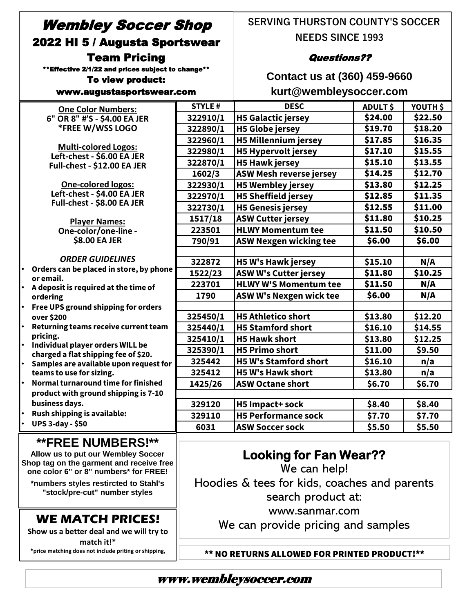# Wembley Soccer Shop 2022 HI 5 / Augusta Sportswear Team Pricing

\*\*Effective 2/1/22 and prices subject to change\*\*

#### To view product:

**Show us a better deal and we will try to match it!\* \*price matching does not include priting or shipping,** 

#### www.augustasportswear.com

**SERVING THURSTON COUNTY'S SOCCER NEEDS SINCE 1993** 

### Questions??

**Contact us at (360) 459-9660 kurt@wembleysoccer.com**

| <b>One Color Numbers:</b>                                                         | <b>STYLE#</b>                                | <b>DESC</b>                    | ADULT\$ | YOUTH \$ |
|-----------------------------------------------------------------------------------|----------------------------------------------|--------------------------------|---------|----------|
| 6" OR 8" #'S - \$4.00 EA JER                                                      | 322910/1                                     | <b>H5 Galactic jersey</b>      | \$24.00 | \$22.50  |
| *FREE W/WSS LOGO                                                                  | 322890/1                                     | <b>H5 Globe jersey</b>         | \$19.70 | \$18.20  |
|                                                                                   | 322960/1                                     | <b>H5 Millennium jersey</b>    | \$17.85 | \$16.35  |
| <b>Multi-colored Logos:</b><br>Left-chest - \$6.00 EA JER                         | 322980/1                                     | <b>H5 Hypervolt jersey</b>     | \$17.10 | \$15.55  |
| Full-chest - \$12.00 EA JER                                                       | 322870/1                                     | <b>H5 Hawk jersey</b>          | \$15.10 | \$13.55  |
|                                                                                   | 1602/3                                       | <b>ASW Mesh reverse jersey</b> | \$14.25 | \$12.70  |
| <b>One-colored logos:</b>                                                         | 322930/1                                     | <b>H5 Wembley jersey</b>       | \$13.80 | \$12.25  |
| Left-chest - \$4.00 EA JER                                                        | 322970/1                                     | <b>H5 Sheffield jersey</b>     | \$12.85 | \$11.35  |
| Full-chest - \$8.00 EA JER                                                        | 322730/1                                     | <b>H5 Genesis jersey</b>       | \$12.55 | \$11.00  |
| <b>Player Names:</b>                                                              | 1517/18                                      | <b>ASW Cutter jersey</b>       | \$11.80 | \$10.25  |
| One-color/one-line -                                                              | 223501                                       | <b>HLWY Momentum tee</b>       | \$11.50 | \$10.50  |
| \$8.00 EA JER                                                                     | 790/91                                       | <b>ASW Nexgen wicking tee</b>  | \$6.00  | \$6.00   |
|                                                                                   |                                              |                                |         |          |
| <b>ORDER GUIDELINES</b>                                                           | 322872                                       | <b>H5 W's Hawk jersey</b>      | \$15.10 | N/A      |
| Orders can be placed in store, by phone<br>or email.                              | 1522/23                                      | <b>ASW W's Cutter jersey</b>   | \$11.80 | \$10.25  |
| • A deposit is required at the time of                                            | 223701                                       | <b>HLWY W'S Momentum tee</b>   | \$11.50 | N/A      |
| ordering                                                                          | 1790                                         | ASW W's Nexgen wick tee        | \$6.00  | N/A      |
| Free UPS ground shipping for orders<br>$\bullet$                                  |                                              |                                |         |          |
| over \$200                                                                        | 325450/1                                     | <b>H5 Athletico short</b>      | \$13.80 | \$12.20  |
| $\bullet$<br>Returning teams receive current team                                 | 325440/1                                     | <b>H5 Stamford short</b>       | \$16.10 | \$14.55  |
| pricing.<br>$\bullet$                                                             | 325410/1                                     | <b>H5 Hawk short</b>           | \$13.80 | \$12.25  |
| Individual player orders WILL be<br>charged a flat shipping fee of \$20.          | 325390/1                                     | <b>H5 Primo short</b>          | \$11.00 | \$9.50   |
| Samples are available upon request for<br>$\bullet$                               | 325442                                       | <b>H5 W's Stamford short</b>   | \$16.10 | n/a      |
| teams to use for sizing.                                                          | 325412                                       | <b>H5 W's Hawk short</b>       | \$13.80 | n/a      |
| Normal turnaround time for finished<br>$\bullet$                                  | 1425/26                                      | <b>ASW Octane short</b>        | \$6.70  | \$6.70   |
| product with ground shipping is 7-10                                              |                                              |                                |         |          |
| business days.                                                                    | 329120                                       | H5 Impact+ sock                | \$8.40  | \$8.40   |
| Rush shipping is available:                                                       | 329110                                       | <b>H5 Performance sock</b>     | \$7.70  | \$7.70   |
| <b>UPS 3-day - \$50</b>                                                           | 6031                                         | <b>ASW Soccer sock</b>         | \$5.50  | \$5.50   |
| <b>**FREE NUMBERS!**</b>                                                          |                                              |                                |         |          |
| <b>Looking for Fan Wear??</b><br>Allow us to put our Wembley Soccer               |                                              |                                |         |          |
| Shop tag on the garment and receive free<br>one color 6" or 8" numbers* for FREE! | We can help!                                 |                                |         |          |
|                                                                                   |                                              |                                |         |          |
| *numbers styles restircted to Stahl's<br>"stock/pre-cut" number styles            | Hoodies & tees for kids, coaches and parents |                                |         |          |
|                                                                                   |                                              | search product at:             |         |          |
|                                                                                   |                                              | www.sanmar.com                 |         |          |
| <b>WE MATCH PRICES!</b>                                                           |                                              |                                |         |          |

We can provide pricing and samples

\*\* NO RETURNS ALLOWED FOR PRINTED PRODUCT!\*\*

## www.wembleysoccer.com